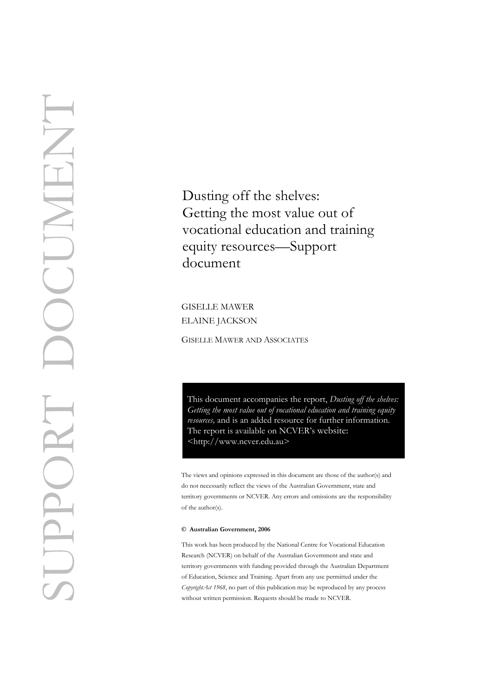Dusting off the shelves: Getting the most value out of vocational education and training equity resources—Support document

GISELLE MAWER ELAINE JACKSON

**GISELLE MAWER AND ASSOCIATES** 

This document accompanies the report, *Dusting off the shelves: Getting the most value out of vocational education and training equity resources,* and is an added resource for further information. The report is available on NCVER's website: <[http://w](http://www.ncver.edu.au/pubs.htm)ww.ncver.edu.au>

The views and opinions expressed in this document are those of the author(s) and do not necessarily reflect the views of the Australian Government, state and territory governments or NCVER. Any errors and omissions are the responsibility of the author(s).

#### **© Australian Government, 2006**

This work has been produced by the National Centre for Vocational Education Research (NCVER) on behalf of the Australian Government and state and territory governments with funding provided through the Australian Department of Education, Science and Training. Apart from any use permitted under the *CopyrightAct 1968*, no part of this publication may be reproduced by any process without written permission. Requests should be made to NCVER.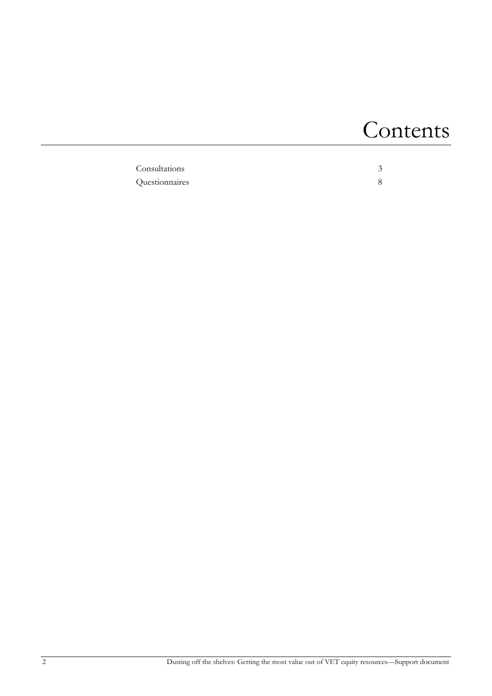# Contents

| Consultations  |  |
|----------------|--|
| Questionnaires |  |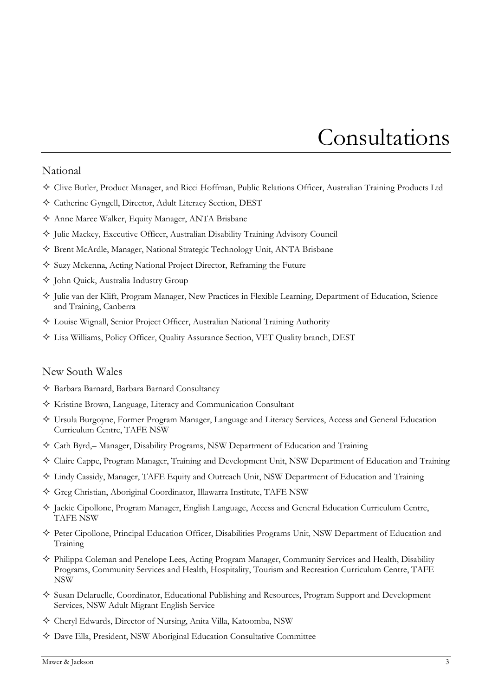# <span id="page-2-0"></span>Consultations

### National

- Clive Butler, Product Manager, and Ricci Hoffman, Public Relations Officer, Australian Training Products Ltd
- Catherine Gyngell, Director, Adult Literacy Section, DEST
- Anne Maree Walker, Equity Manager, ANTA Brisbane
- $\Diamond$  Julie Mackey, Executive Officer, Australian Disability Training Advisory Council
- Brent McArdle, Manager, National Strategic Technology Unit, ANTA Brisbane
- $\Diamond$  Suzy Mckenna, Acting National Project Director, Reframing the Future
- $\Diamond$  Iohn Ouick, Australia Industry Group
- Julie van der Klift, Program Manager, New Practices in Flexible Learning, Department of Education, Science and Training, Canberra
- Louise Wignall, Senior Project Officer, Australian National Training Authority
- Lisa Williams, Policy Officer, Quality Assurance Section, VET Quality branch, DEST

#### New South Wales

- Barbara Barnard, Barbara Barnard Consultancy
- Kristine Brown, Language, Literacy and Communication Consultant
- Ursula Burgoyne, Former Program Manager, Language and Literacy Services, Access and General Education Curriculum Centre, TAFE NSW
- $\diamondsuit$  Cath Byrd,– Manager, Disability Programs, NSW Department of Education and Training
- Claire Cappe, Program Manager, Training and Development Unit, NSW Department of Education and Training
- Lindy Cassidy, Manager, TAFE Equity and Outreach Unit, NSW Department of Education and Training
- Greg Christian, Aboriginal Coordinator, Illawarra Institute, TAFE NSW
- Jackie Cipollone, Program Manager, English Language, Access and General Education Curriculum Centre, TAFE NSW
- Peter Cipollone, Principal Education Officer, Disabilities Programs Unit, NSW Department of Education and Training
- $\diamond$  Philippa Coleman and Penelope Lees, Acting Program Manager, Community Services and Health, Disability Programs, Community Services and Health, Hospitality, Tourism and Recreation Curriculum Centre, TAFE NSW
- Susan Delaruelle, Coordinator, Educational Publishing and Resources, Program Support and Development Services, NSW Adult Migrant English Service
- Cheryl Edwards, Director of Nursing, Anita Villa, Katoomba, NSW
- Dave Ella, President, NSW Aboriginal Education Consultative Committee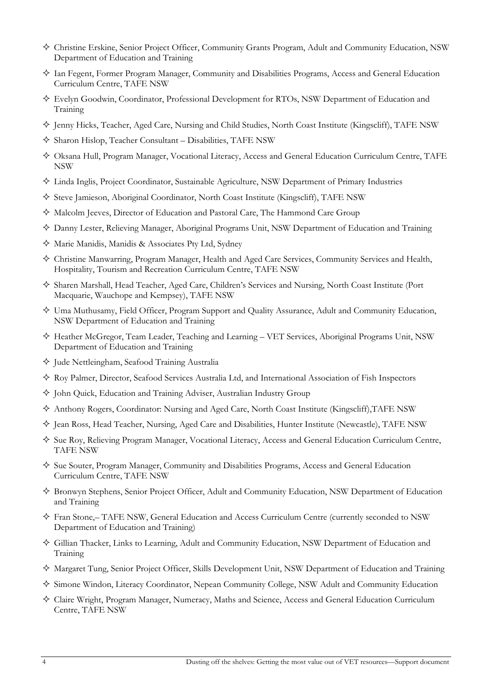- Christine Erskine, Senior Project Officer, Community Grants Program, Adult and Community Education, NSW Department of Education and Training
- Ian Fegent, Former Program Manager, Community and Disabilities Programs, Access and General Education Curriculum Centre, TAFE NSW
- Evelyn Goodwin, Coordinator, Professional Development for RTOs, NSW Department of Education and Training
- $\Diamond$  Jenny Hicks, Teacher, Aged Care, Nursing and Child Studies, North Coast Institute (Kingscliff), TAFE NSW
- Sharon Hislop, Teacher Consultant Disabilities, TAFE NSW
- Oksana Hull, Program Manager, Vocational Literacy, Access and General Education Curriculum Centre, TAFE NSW
- Linda Inglis, Project Coordinator, Sustainable Agriculture, NSW Department of Primary Industries
- $\diamondsuit$  Steve Jamieson, Aboriginal Coordinator, North Coast Institute (Kingscliff), TAFE NSW
- Malcolm Jeeves, Director of Education and Pastoral Care, The Hammond Care Group
- Danny Lester, Relieving Manager, Aboriginal Programs Unit, NSW Department of Education and Training
- Marie Manidis, Manidis & Associates Pty Ltd, Sydney
- Christine Manwarring, Program Manager, Health and Aged Care Services, Community Services and Health, Hospitality, Tourism and Recreation Curriculum Centre, TAFE NSW
- Sharen Marshall, Head Teacher, Aged Care, Children's Services and Nursing, North Coast Institute (Port Macquarie, Wauchope and Kempsey), TAFE NSW
- $\diamond$  Uma Muthusamy, Field Officer, Program Support and Quality Assurance, Adult and Community Education, NSW Department of Education and Training
- Heather McGregor, Team Leader, Teaching and Learning VET Services, Aboriginal Programs Unit, NSW Department of Education and Training
- Jude Nettleingham, Seafood Training Australia
- $\diamond$  Roy Palmer, Director, Seafood Services Australia Ltd, and International Association of Fish Inspectors
- $\Diamond$  John Quick, Education and Training Adviser, Australian Industry Group
- Anthony Rogers, Coordinator: Nursing and Aged Care, North Coast Institute (Kingscliff),TAFE NSW
- $\Diamond$  Iean Ross, Head Teacher, Nursing, Aged Care and Disabilities, Hunter Institute (Newcastle), TAFE NSW
- $\Diamond$  Sue Roy, Relieving Program Manager, Vocational Literacy, Access and General Education Curriculum Centre, TAFE NSW
- $\diamond$  Sue Souter, Program Manager, Community and Disabilities Programs, Access and General Education Curriculum Centre, TAFE NSW
- Bronwyn Stephens, Senior Project Officer, Adult and Community Education, NSW Department of Education and Training
- Fran Stone,– TAFE NSW, General Education and Access Curriculum Centre (currently seconded to NSW Department of Education and Training)
- Gillian Thacker, Links to Learning, Adult and Community Education, NSW Department of Education and Training
- $\diamond$  Margaret Tung, Senior Project Officer, Skills Development Unit, NSW Department of Education and Training
- $\diamond$  Simone Windon, Literacy Coordinator, Nepean Community College, NSW Adult and Community Education
- Claire Wright, Program Manager, Numeracy, Maths and Science, Access and General Education Curriculum Centre, TAFE NSW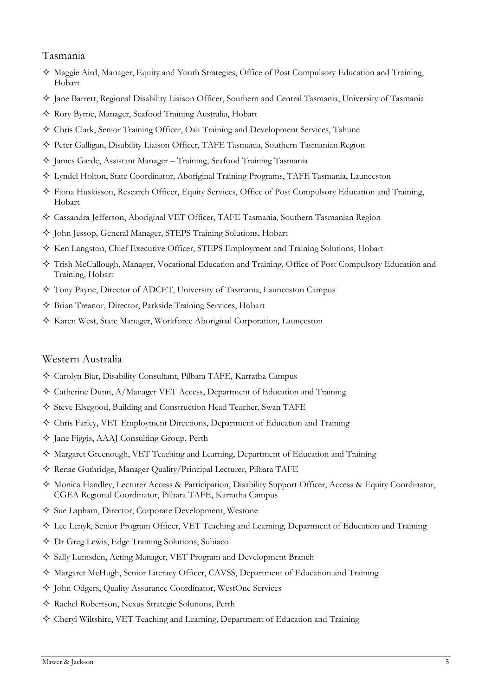# Tasmania

- Maggie Aird, Manager, Equity and Youth Strategies, Office of Post Compulsory Education and Training, Hobart
- Jane Barrett, Regional Disability Liaison Officer, Southern and Central Tasmania, University of Tasmania
- Rory Byrne, Manager, Seafood Training Australia, Hobart
- Chris Clark, Senior Training Officer, Oak Training and Development Services, Tahune
- Peter Galligan, Disability Liaison Officer, TAFE Tasmania, Southern Tasmanian Region
- James Garde, Assistant Manager Training, Seafood Training Tasmania
- Lyndel Holton, State Coordinator, Aboriginal Training Programs, TAFE Tasmania, Launceston
- Fiona Huskisson, Research Officer, Equity Services, Office of Post Compulsory Education and Training, Hobart
- Cassandra Jefferson, Aboriginal VET Officer, TAFE Tasmania, Southern Tasmanian Region
- John Jessop, General Manager, STEPS Training Solutions, Hobart
- $\Diamond$  Ken Langston, Chief Executive Officer, STEPS Employment and Training Solutions, Hobart
- Trish McCullough, Manager, Vocational Education and Training, Office of Post Compulsory Education and Training, Hobart
- Tony Payne, Director of ADCET, University of Tasmania, Launceston Campus
- Brian Treanor, Director, Parkside Training Services, Hobart
- Karen West, State Manager, Workforce Aboriginal Corporation, Launceston

# Western Australia

- Carolyn Biar, Disability Consultant, Pilbara TAFE, Karratha Campus
- Catherine Dunn, A/Manager VET Access, Department of Education and Training
- Steve Elsegood, Building and Construction Head Teacher, Swan TAFE
- Chris Farley, VET Employment Directions, Department of Education and Training
- Jane Figgis, AAAJ Consulting Group, Perth
- Margaret Greenough, VET Teaching and Learning, Department of Education and Training
- Renae Guthridge, Manager Quality/Principal Lecturer, Pilbara TAFE
- Monica Handley, Lecturer Access & Participation, Disability Support Officer, Access & Equity Coordinator, CGEA Regional Coordinator, Pilbara TAFE, Karratha Campus
- $\Diamond$  Sue Lapham, Director, Corporate Development, Westone
- Lee Lenyk, Senior Program Officer, VET Teaching and Learning, Department of Education and Training
- Dr Greg Lewis, Edge Training Solutions, Subiaco
- Sally Lumsden, Acting Manager, VET Program and Development Branch
- Margaret McHugh, Senior Literacy Officer, CAVSS, Department of Education and Training
- John Odgers, Quality Assurance Coordinator, WestOne Services
- Rachel Robertson, Nexus Strategic Solutions, Perth
- Cheryl Wiltshire, VET Teaching and Learning, Department of Education and Training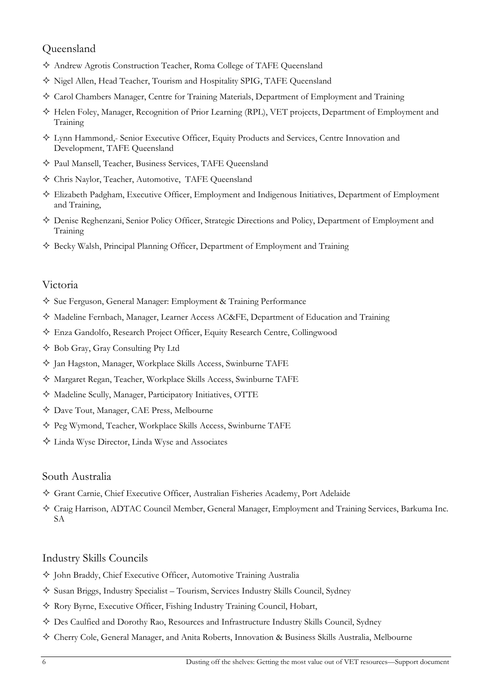# Queensland

- Andrew Agrotis Construction Teacher, Roma College of TAFE Queensland
- Nigel Allen, Head Teacher, Tourism and Hospitality SPIG, TAFE Queensland
- Carol Chambers Manager, Centre for Training Materials, Department of Employment and Training
- Helen Foley, Manager, Recognition of Prior Learning (RPL), VET projects, Department of Employment and Training
- Lynn Hammond,- Senior Executive Officer, Equity Products and Services, Centre Innovation and Development, TAFE Queensland
- Paul Mansell, Teacher, Business Services, TAFE Queensland
- Chris Naylor, Teacher, Automotive, TAFE Queensland
- Elizabeth Padgham, Executive Officer, Employment and Indigenous Initiatives, Department of Employment and Training,
- Denise Reghenzani, Senior Policy Officer, Strategic Directions and Policy, Department of Employment and Training
- $\diamondsuit$  Becky Walsh, Principal Planning Officer, Department of Employment and Training

# Victoria

- Sue Ferguson, General Manager: Employment & Training Performance
- Madeline Fernbach, Manager, Learner Access AC&FE, Department of Education and Training
- Enza Gandolfo, Research Project Officer, Equity Research Centre, Collingwood
- Bob Gray, Gray Consulting Pty Ltd
- Jan Hagston, Manager, Workplace Skills Access, Swinburne TAFE
- Margaret Regan, Teacher, Workplace Skills Access, Swinburne TAFE
- Madeline Scully, Manager, Participatory Initiatives, OTTE
- Dave Tout, Manager, CAE Press, Melbourne
- Peg Wymond, Teacher, Workplace Skills Access, Swinburne TAFE
- Linda Wyse Director, Linda Wyse and Associates

# South Australia

- Grant Carnie, Chief Executive Officer, Australian Fisheries Academy, Port Adelaide
- Craig Harrison, ADTAC Council Member, General Manager, Employment and Training Services, Barkuma Inc. SA

# Industry Skills Councils

- $\Diamond$  John Braddy, Chief Executive Officer, Automotive Training Australia
- $\diamond$  Susan Briggs, Industry Specialist Tourism, Services Industry Skills Council, Sydney
- Rory Byrne, Executive Officer, Fishing Industry Training Council, Hobart,
- Des Caulfied and Dorothy Rao, Resources and Infrastructure Industry Skills Council, Sydney
- Cherry Cole, General Manager, and Anita Roberts, Innovation & Business Skills Australia, Melbourne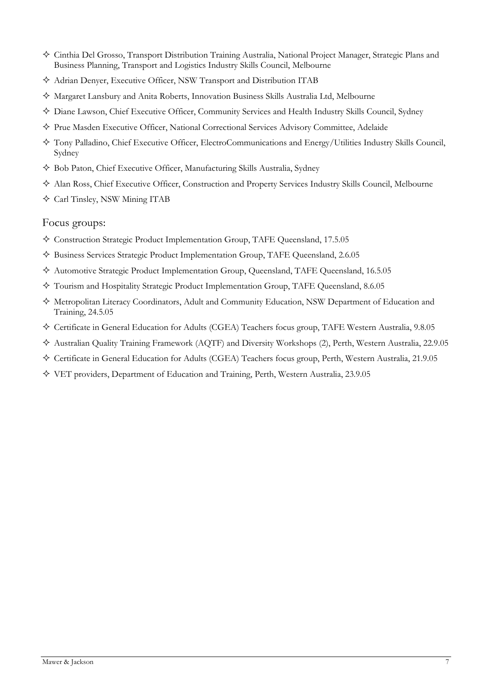- Cinthia Del Grosso, Transport Distribution Training Australia, National Project Manager, Strategic Plans and Business Planning, Transport and Logistics Industry Skills Council, Melbourne
- Adrian Denyer, Executive Officer, NSW Transport and Distribution ITAB
- $\diamond$  Margaret Lansbury and Anita Roberts, Innovation Business Skills Australia Ltd, Melbourne
- Diane Lawson, Chief Executive Officer, Community Services and Health Industry Skills Council, Sydney
- $\diamond$  Prue Masden Executive Officer, National Correctional Services Advisory Committee, Adelaide
- Tony Palladino, Chief Executive Officer, ElectroCommunications and Energy/Utilities Industry Skills Council, Sydney
- Bob Paton, Chief Executive Officer, Manufacturing Skills Australia, Sydney
- Alan Ross, Chief Executive Officer, Construction and Property Services Industry Skills Council, Melbourne
- Carl Tinsley, NSW Mining ITAB

## Focus groups:

- Construction Strategic Product Implementation Group, TAFE Queensland, 17.5.05
- Business Services Strategic Product Implementation Group, TAFE Queensland, 2.6.05
- Automotive Strategic Product Implementation Group, Queensland, TAFE Queensland, 16.5.05
- Tourism and Hospitality Strategic Product Implementation Group, TAFE Queensland, 8.6.05
- Metropolitan Literacy Coordinators, Adult and Community Education, NSW Department of Education and Training, 24.5.05
- Certificate in General Education for Adults (CGEA) Teachers focus group, TAFE Western Australia, 9.8.05
- Australian Quality Training Framework (AQTF) and Diversity Workshops (2), Perth, Western Australia, 22.9.05
- Certificate in General Education for Adults (CGEA) Teachers focus group, Perth, Western Australia, 21.9.05
- VET providers, Department of Education and Training, Perth, Western Australia, 23.9.05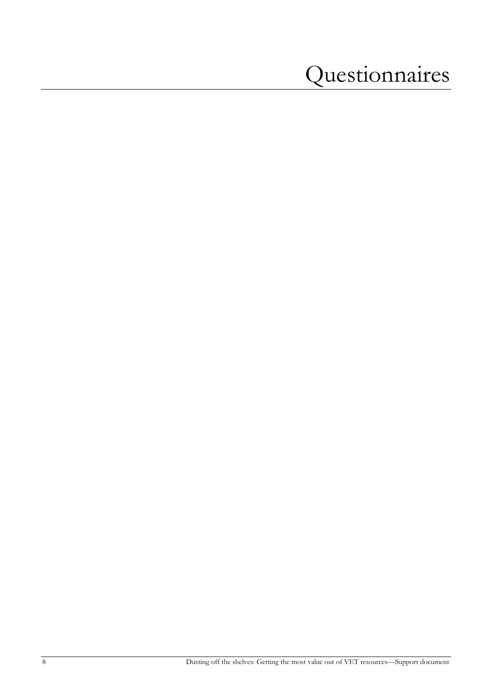# <span id="page-7-0"></span>Questionnaires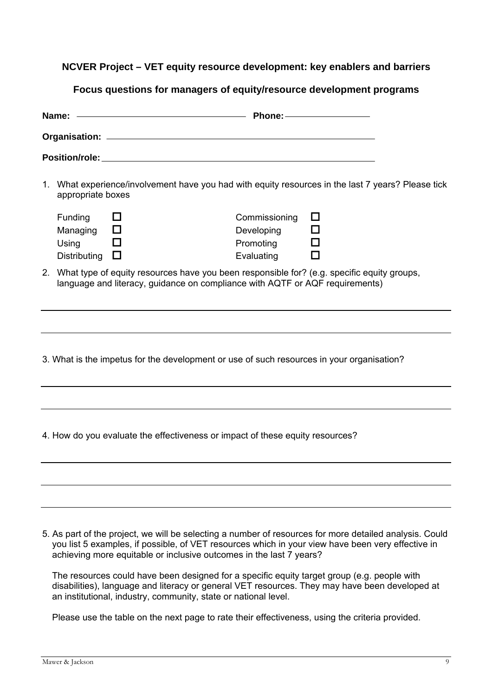# **NCVER Project – VET equity resource development: key enablers and barriers**

**Focus questions for managers of equity/resource development programs**

|    | Name:                                                                                        | Phone: <u>New York: New York: New York: New York: New York: New York: New York: New York: New York: New York: New York: New York: New York: New York: New York: New York: New York: New York: New York: New York: New York: New </u> |  |
|----|----------------------------------------------------------------------------------------------|--------------------------------------------------------------------------------------------------------------------------------------------------------------------------------------------------------------------------------------|--|
|    |                                                                                              |                                                                                                                                                                                                                                      |  |
|    |                                                                                              |                                                                                                                                                                                                                                      |  |
|    | appropriate boxes                                                                            | 1. What experience/involvement have you had with equity resources in the last 7 years? Please tick                                                                                                                                   |  |
|    | Funding<br>$\Box$<br>$\Box$<br>Managing<br>Using<br>$\blacksquare$<br>Distributing<br>$\Box$ | Commissioning<br>$\Box$<br>ப<br>Developing<br>Promoting<br>Evaluating                                                                                                                                                                |  |
| 2. |                                                                                              | What type of equity resources have you been responsible for? (e.g. specific equity groups,<br>language and literacy, guidance on compliance with AQTF or AQF requirements)                                                           |  |
|    |                                                                                              |                                                                                                                                                                                                                                      |  |
|    |                                                                                              | 3. What is the impetus for the development or use of such resources in your organisation?                                                                                                                                            |  |
|    |                                                                                              |                                                                                                                                                                                                                                      |  |
|    |                                                                                              | 4. How do you evaluate the effectiveness or impact of these equity resources?                                                                                                                                                        |  |
|    |                                                                                              |                                                                                                                                                                                                                                      |  |
|    |                                                                                              |                                                                                                                                                                                                                                      |  |
|    |                                                                                              |                                                                                                                                                                                                                                      |  |

5. As part of the project, we will be selecting a number of resources for more detailed analysis. Could you list 5 examples, if possible, of VET resources which in your view have been very effective in achieving more equitable or inclusive outcomes in the last 7 years?

The resources could have been designed for a specific equity target group (e.g. people with disabilities), language and literacy or general VET resources. They may have been developed at an institutional, industry, community, state or national level.

Please use the table on the next page to rate their effectiveness, using the criteria provided.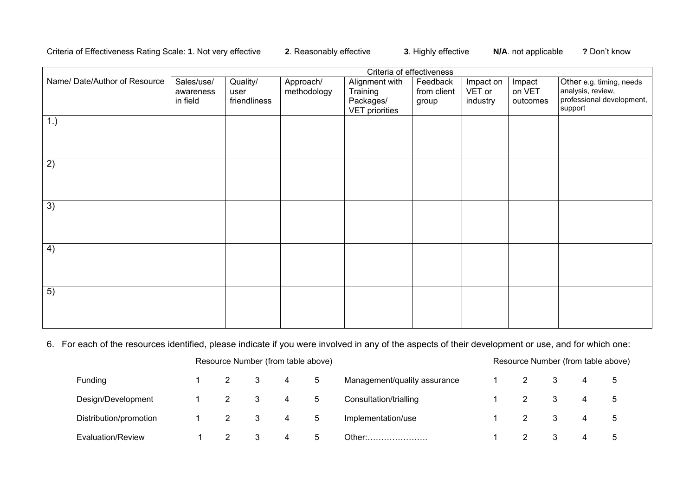## Criteria of Effectiveness Rating Scale: **1**. Not very effective **2**. Reasonably effective **3**. Highly effective **N/A**. not applicable **?** Don't know

|                              | Criteria of effectiveness |              |             |                       |             |           |          |                           |  |
|------------------------------|---------------------------|--------------|-------------|-----------------------|-------------|-----------|----------|---------------------------|--|
| Name/Date/Author of Resource | Sales/use/                | Quality/     | Approach/   | Alignment with        | Feedback    | Impact on | Impact   | Other e.g. timing, needs  |  |
|                              | awareness                 | user         | methodology | Training              | from client | VET or    | on VET   | analysis, review,         |  |
|                              | in field                  | friendliness |             | Packages/             | group       | industry  | outcomes | professional development, |  |
|                              |                           |              |             | <b>VET</b> priorities |             |           |          | support                   |  |
| 1.)                          |                           |              |             |                       |             |           |          |                           |  |
|                              |                           |              |             |                       |             |           |          |                           |  |
|                              |                           |              |             |                       |             |           |          |                           |  |
|                              |                           |              |             |                       |             |           |          |                           |  |
| 2)                           |                           |              |             |                       |             |           |          |                           |  |
|                              |                           |              |             |                       |             |           |          |                           |  |
|                              |                           |              |             |                       |             |           |          |                           |  |
|                              |                           |              |             |                       |             |           |          |                           |  |
| 3)                           |                           |              |             |                       |             |           |          |                           |  |
|                              |                           |              |             |                       |             |           |          |                           |  |
|                              |                           |              |             |                       |             |           |          |                           |  |
|                              |                           |              |             |                       |             |           |          |                           |  |
| 4)                           |                           |              |             |                       |             |           |          |                           |  |
|                              |                           |              |             |                       |             |           |          |                           |  |
|                              |                           |              |             |                       |             |           |          |                           |  |
|                              |                           |              |             |                       |             |           |          |                           |  |
| 5)                           |                           |              |             |                       |             |           |          |                           |  |
|                              |                           |              |             |                       |             |           |          |                           |  |
|                              |                           |              |             |                       |             |           |          |                           |  |
|                              |                           |              |             |                       |             |           |          |                           |  |

## 6. For each of the resources identified, please indicate if you were involved in any of the aspects of their development or use, and for which one:

|                        | Resource Number (from table above) |     |  |   |             |                              |  | Resource Number (from table above) |  |  |  |  |  |  |
|------------------------|------------------------------------|-----|--|---|-------------|------------------------------|--|------------------------------------|--|--|--|--|--|--|
| Funding                |                                    |     |  | 4 | 5           | Management/quality assurance |  |                                    |  |  |  |  |  |  |
| Design/Development     |                                    | 2 3 |  | 4 | 5           | Consultation/trialling       |  |                                    |  |  |  |  |  |  |
| Distribution/promotion |                                    |     |  | 4 | 5           | Implementation/use           |  |                                    |  |  |  |  |  |  |
| Evaluation/Review      |                                    |     |  | 4 | $5^{\circ}$ | Other:…….                    |  |                                    |  |  |  |  |  |  |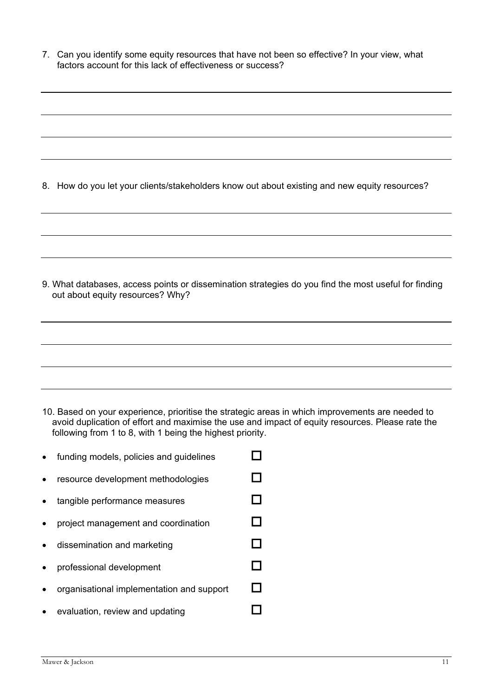7. Can you identify some equity resources that have not been so effective? In your view, what factors account for this lack of effectiveness or success?

- 8. How do you let your clients/stakeholders know out about existing and new equity resources? 9. What databases, access points or dissemination strategies do you find the most useful for finding out about equity resources? Why?
- 10. Based on your experience, prioritise the strategic areas in which improvements are needed to avoid duplication of effort and maximise the use and impact of equity resources. Please rate the following from 1 to 8, with 1 being the highest priority.
- funding models, policies and guidelines  $\Box$  $resource$  development methodologies  $\Box$ • tangible performance measures  $\Box$ • project management and coordination  $\Box$ • dissemination and marketing  $\Box$ • professional development  $\Box$ • organisational implementation and support  $\Box$ evaluation, review and updating  $\Box$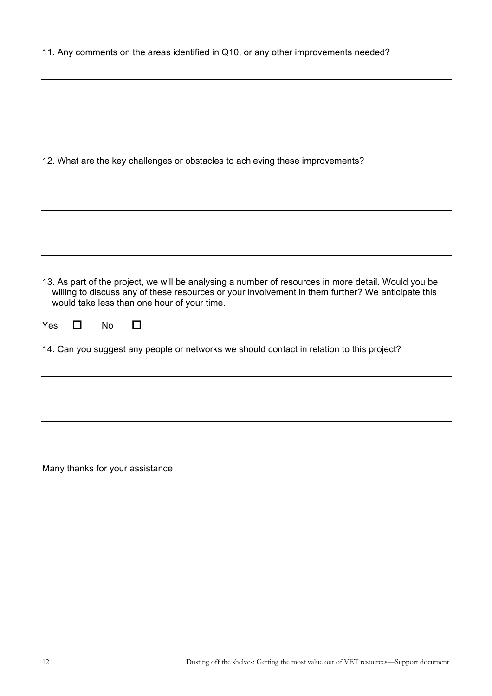|             |         | 12. What are the key challenges or obstacles to achieving these improvements?                                                                                                                                                                           |  |  |  |
|-------------|---------|---------------------------------------------------------------------------------------------------------------------------------------------------------------------------------------------------------------------------------------------------------|--|--|--|
|             |         |                                                                                                                                                                                                                                                         |  |  |  |
|             |         |                                                                                                                                                                                                                                                         |  |  |  |
|             |         |                                                                                                                                                                                                                                                         |  |  |  |
|             |         |                                                                                                                                                                                                                                                         |  |  |  |
|             |         |                                                                                                                                                                                                                                                         |  |  |  |
|             |         |                                                                                                                                                                                                                                                         |  |  |  |
|             |         | 13. As part of the project, we will be analysing a number of resources in more detail. Would you be<br>willing to discuss any of these resources or your involvement in them further? We anticipate this<br>would take less than one hour of your time. |  |  |  |
| Yes<br>- 11 | No<br>H |                                                                                                                                                                                                                                                         |  |  |  |
|             |         | 14. Can you suggest any people or networks we should contact in relation to this project?                                                                                                                                                               |  |  |  |
|             |         |                                                                                                                                                                                                                                                         |  |  |  |
|             |         |                                                                                                                                                                                                                                                         |  |  |  |
|             |         |                                                                                                                                                                                                                                                         |  |  |  |
|             |         |                                                                                                                                                                                                                                                         |  |  |  |
|             |         |                                                                                                                                                                                                                                                         |  |  |  |
|             |         |                                                                                                                                                                                                                                                         |  |  |  |

11. Any comments on the areas identified in Q10, or any other improvements needed?

Many thanks for your assistance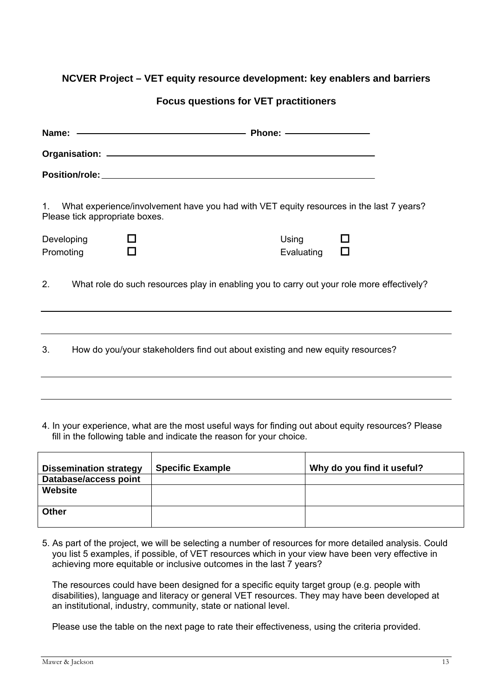# **NCVER Project – VET equity resource development: key enablers and barriers**

# **Focus questions for VET practitioners**

|                         |                                | Name: ———————————————————— Phone: ———————————                                             |                     |             |
|-------------------------|--------------------------------|-------------------------------------------------------------------------------------------|---------------------|-------------|
|                         |                                |                                                                                           |                     |             |
|                         |                                |                                                                                           |                     |             |
| $1_{\cdot}$             | Please tick appropriate boxes. | What experience/involvement have you had with VET equity resources in the last 7 years?   |                     |             |
| Developing<br>Promoting |                                |                                                                                           | Using<br>Evaluating | П<br>$\Box$ |
| 2.                      |                                | What role do such resources play in enabling you to carry out your role more effectively? |                     |             |
| 3.                      |                                | How do you/your stakeholders find out about existing and new equity resources?            |                     |             |
|                         |                                |                                                                                           |                     |             |

4. In your experience, what are the most useful ways for finding out about equity resources? Please fill in the following table and indicate the reason for your choice.

| <b>Dissemination strategy</b> | <b>Specific Example</b> | Why do you find it useful? |
|-------------------------------|-------------------------|----------------------------|
| Database/access point         |                         |                            |
| Website                       |                         |                            |
|                               |                         |                            |
| Other                         |                         |                            |
|                               |                         |                            |

5. As part of the project, we will be selecting a number of resources for more detailed analysis. Could you list 5 examples, if possible, of VET resources which in your view have been very effective in achieving more equitable or inclusive outcomes in the last 7 years?

The resources could have been designed for a specific equity target group (e.g. people with disabilities), language and literacy or general VET resources. They may have been developed at an institutional, industry, community, state or national level.

Please use the table on the next page to rate their effectiveness, using the criteria provided.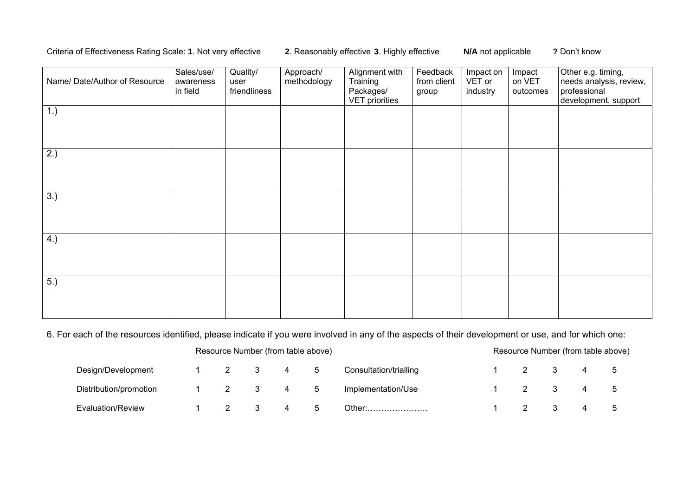## Criteria of Effectiveness Rating Scale: **1**. Not very effective **2**. Reasonably effective **3**. Highly effective **N/A** not applicable **?** Don't know

| Name/ Date/Author of Resource | Sales/use/<br>awareness<br>in field | Quality/<br>user<br>friendliness | Approach/<br>methodology | Alignment with<br>Training<br>Packages/<br><b>VET priorities</b> | Feedback<br>from client<br>group | Impact on<br>VET or<br>industry | Impact<br>on VET<br>outcomes | Other e.g. timing,<br>needs analysis, review,<br>professional<br>development, support |
|-------------------------------|-------------------------------------|----------------------------------|--------------------------|------------------------------------------------------------------|----------------------------------|---------------------------------|------------------------------|---------------------------------------------------------------------------------------|
| 1.)                           |                                     |                                  |                          |                                                                  |                                  |                                 |                              |                                                                                       |
| (2.)                          |                                     |                                  |                          |                                                                  |                                  |                                 |                              |                                                                                       |
| 3.)                           |                                     |                                  |                          |                                                                  |                                  |                                 |                              |                                                                                       |
| 4.)                           |                                     |                                  |                          |                                                                  |                                  |                                 |                              |                                                                                       |
| 5.)                           |                                     |                                  |                          |                                                                  |                                  |                                 |                              |                                                                                       |

6. For each of the resources identified, please indicate if you were involved in any of the aspects of their development or use, and for which one:

|                        |  | Resource Number (from table above) |             |                        |  |  |  |   |  |
|------------------------|--|------------------------------------|-------------|------------------------|--|--|--|---|--|
| Design/Development     |  |                                    | $5^{\circ}$ | Consultation/trialling |  |  |  | 4 |  |
| Distribution/promotion |  | 4                                  | 5           | Implementation/Use     |  |  |  | 4 |  |
| Evaluation/Review      |  |                                    |             | Other: $\dots$         |  |  |  |   |  |